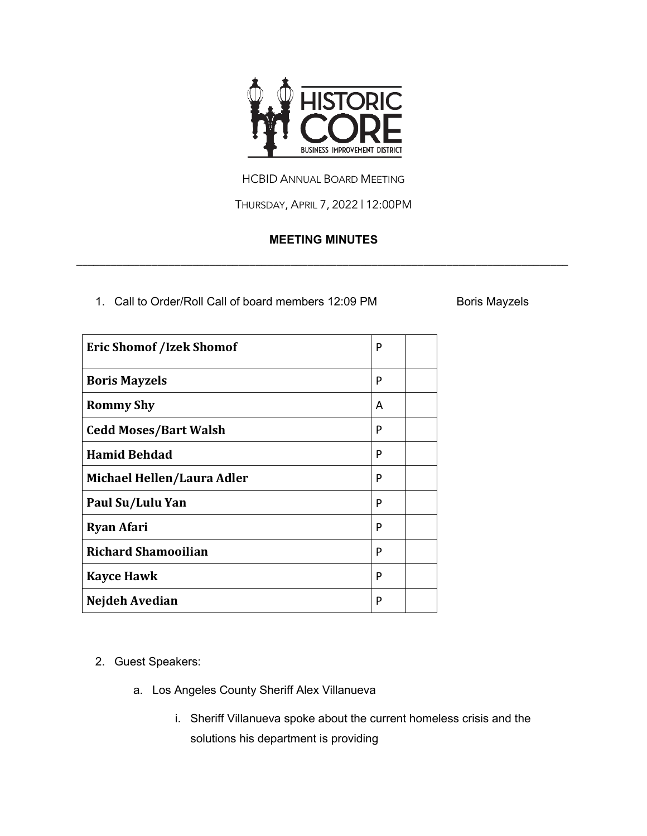

HCBID ANNUAL BOARD MEETING

THURSDAY, APRIL 7, 2022 | 12:00PM

## **MEETING MINUTES**

\_\_\_\_\_\_\_\_\_\_\_\_\_\_\_\_\_\_\_\_\_\_\_\_\_\_\_\_\_\_\_\_\_\_\_\_\_\_\_\_\_\_\_\_\_\_\_\_\_\_\_\_\_\_\_\_\_\_\_\_\_\_\_\_\_\_\_\_\_\_\_\_\_\_\_\_\_\_\_\_\_\_\_\_\_

1. Call to Order/Roll Call of board members 12:09 PM Boris Mayzels

| <b>Eric Shomof /Izek Shomof</b> | P |  |
|---------------------------------|---|--|
| <b>Boris Mayzels</b>            | P |  |
| <b>Rommy Shy</b>                | A |  |
| <b>Cedd Moses/Bart Walsh</b>    | P |  |
| <b>Hamid Behdad</b>             | P |  |
| Michael Hellen/Laura Adler      | P |  |
| Paul Su/Lulu Yan                | P |  |
| <b>Ryan Afari</b>               | P |  |
| <b>Richard Shamooilian</b>      | P |  |
| <b>Kayce Hawk</b>               | P |  |
| Nejdeh Avedian                  | P |  |

- 2. Guest Speakers:
	- a. Los Angeles County Sheriff Alex Villanueva
		- i. Sheriff Villanueva spoke about the current homeless crisis and the solutions his department is providing